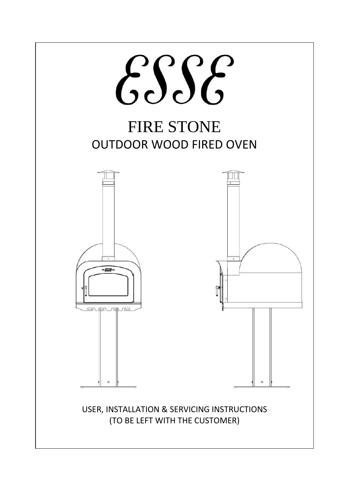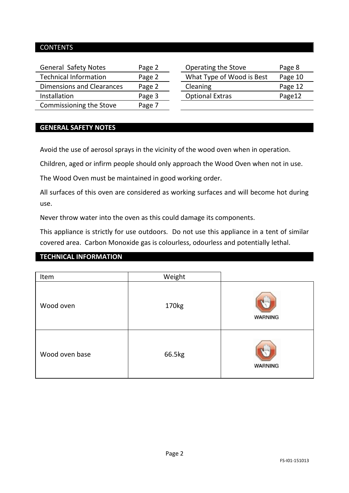#### CONTENTS

| <b>General Safety Notes</b>  | Page 2 | Operating the Stove       | Page 8  |
|------------------------------|--------|---------------------------|---------|
| <b>Technical Information</b> | Page 2 | What Type of Wood is Best | Page 10 |
| Dimensions and Clearances    | Page 2 | Cleaning                  | Page 12 |
| Installation                 | Page 3 | <b>Optional Extras</b>    | Page12  |
| Commissioning the Stove      | Page 7 |                           |         |

#### **GENERAL SAFETY NOTES**

Avoid the use of aerosol sprays in the vicinity of the wood oven when in operation.

Children, aged or infirm people should only approach the Wood Oven when not in use.

The Wood Oven must be maintained in good working order.

All surfaces of this oven are considered as working surfaces and will become hot during use.

Never throw water into the oven as this could damage its components.

This appliance is strictly for use outdoors. Do not use this appliance in a tent of similar covered area. Carbon Monoxide gas is colourless, odourless and potentially lethal.

#### **TECHNICAL INFORMATION**

| Item           | Weight |                |
|----------------|--------|----------------|
| Wood oven      | 170kg  | <b>WARNING</b> |
| Wood oven base | 66.5kg | <b>WARNING</b> |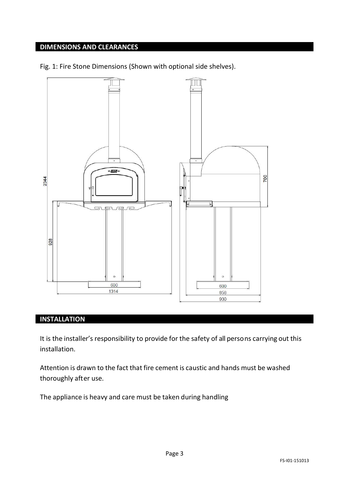# **DIMENSIONS AND CLEARANCES**





## **INSTALLATION**

It is the installer's responsibility to provide for the safety of all persons carrying out this installation.

Attention is drawn to the fact that fire cement is caustic and hands must be washed thoroughly after use.

The appliance is heavy and care must be taken during handling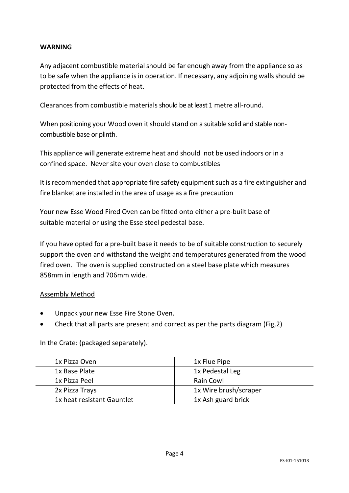#### **WARNING**

Any adjacent combustible material should be far enough away from the appliance so as to be safe when the appliance is in operation. If necessary, any adjoining walls should be protected from the effects of heat.

Clearances from combustible materials should be at least 1 metre all-round.

When positioning your Wood oven it should stand on a suitable solid and stable noncombustible base or plinth.

This appliance will generate extreme heat and should not be used indoors or in a confined space. Never site your oven close to combustibles

It isrecommended that appropriate fire safety equipment such as a fire extinguisher and fire blanket are installed in the area of usage as a fire precaution

Your new Esse Wood Fired Oven can be fitted onto either a pre-built base of suitable material or using the Esse steel pedestal base.

If you have opted for a pre-built base it needs to be of suitable construction to securely support the oven and withstand the weight and temperatures generated from the wood fired oven. The oven is supplied constructed on a steel base plate which measures 858mm in length and 706mm wide.

#### Assembly Method

- Unpack your new Esse Fire Stone Oven.
- Check that all parts are present and correct as per the parts diagram (Fig,2)

In the Crate: (packaged separately).

| 1x Pizza Oven              | 1x Flue Pipe          |
|----------------------------|-----------------------|
| 1x Base Plate              | 1x Pedestal Leg       |
| 1x Pizza Peel              | Rain Cowl             |
| 2x Pizza Travs             | 1x Wire brush/scraper |
| 1x heat resistant Gauntlet | 1x Ash guard brick    |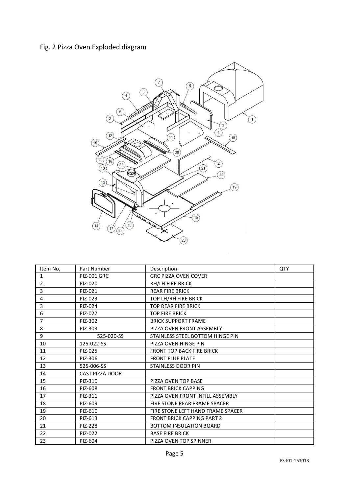## Fig. 2 Pizza Oven Exploded diagram



| Item No,       | Part Number            | Description                       | QTY |
|----------------|------------------------|-----------------------------------|-----|
| $\mathbf{1}$   | <b>PIZ-001 GRC</b>     | <b>GRC PIZZA OVEN COVER</b>       |     |
| $\overline{2}$ | PIZ-020                | RH/LH FIRE BRICK                  |     |
| 3              | PIZ-021                | <b>REAR FIRE BRICK</b>            |     |
| 4              | PIZ-023                | TOP LH/RH FIRE BRICK              |     |
| 3              | PIZ-024                | <b>TOP REAR FIRE BRICK</b>        |     |
| 6              | PIZ-027                | <b>TOP FIRE BRICK</b>             |     |
| $\overline{7}$ | PIZ-302                | <b>BRICK SUPPORT FRAME</b>        |     |
| 8              | PIZ-303                | PIZZA OVEN FRONT ASSEMBLY         |     |
| 9              | 525-020-SS             | STAINLESS STEEL BOTTOM HINGE PIN  |     |
| 10             | 125-022-SS             | PIZZA OVEN HINGE PIN              |     |
| 11             | PIZ-025                | <b>FRONT TOP BACK FIRE BRICK</b>  |     |
| 12             | PIZ-306                | <b>FRONT FLUE PLATE</b>           |     |
| 13             | 525-006-SS             | <b>STAINLESS DOOR PIN</b>         |     |
| 14             | <b>CAST PIZZA DOOR</b> |                                   |     |
| 15             | PIZ-310                | PIZZA OVEN TOP BASE               |     |
| 16             | PIZ-608                | <b>FRONT BRICK CAPPING</b>        |     |
| 17             | PIZ-311                | PIZZA OVEN FRONT INFILL ASSEMBLY  |     |
| 18             | PIZ-609                | FIRE STONE REAR FRAME SPACER      |     |
| 19             | PIZ-610                | FIRE STONE LEFT HAND FRAME SPACER |     |
| 20             | PIZ-613                | <b>FRONT BRICK CAPPING PART 2</b> |     |
| 21             | PIZ-228                | <b>BOTTOM INSULATION BOARD</b>    |     |
| 22             | PIZ-022                | <b>BASE FIRE BRICK</b>            |     |
| 23             | PIZ-604                | PIZZA OVEN TOP SPINNER            |     |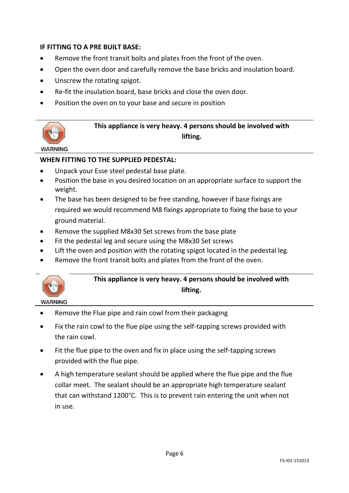#### **IF FITTING TO A PRE BUILT BASE:**

- Remove the front transit bolts and plates from the front of the oven.
- Open the oven door and carefully remove the base bricks and insulation board.
- Unscrew the rotating spigot.
- Re-fit the insulation board, base bricks and close the oven door.
- Position the oven on to your base and secure in position



### **This appliance is very heavy. 4 persons should be involved with lifting.**

#### **WARNING**

#### **WHEN FITTING TO THE SUPPLIED PEDESTAL:**

- Unpack your Esse steel pedestal base plate.
- Position the base in you desired location on an appropriate surface to support the weight.
- The base has been designed to be free standing, however if base fixings are required we would recommend M8 fixings appropriate to fixing the base to your ground material.
- Remove the supplied M8x30 Set screws from the base plate
- Fit the pedestal leg and secure using the M8x30 Set screws
- Lift the oven and position with the rotating spigot located in the pedestal leg.
- Remove the front transit bolts and plates from the front of the oven.



## **This appliance is very heavy. 4 persons should be involved with lifting.**

- **WARNING**
- Remove the Flue pipe and rain cowl from their packaging
- Fix the rain cowl to the flue pipe using the self-tapping screws provided with the rain cowl.
- Fit the flue pipe to the oven and fix in place using the self-tapping screws provided with the flue pipe.
- A high temperature sealant should be applied where the flue pipe and the flue collar meet. The sealant should be an appropriate high temperature sealant that can withstand 1200°C. This is to prevent rain entering the unit when not in use.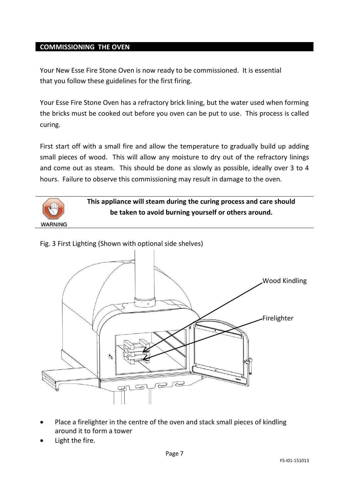#### **COMMISSIONING THE OVEN**

Your New Esse Fire Stone Oven is now ready to be commissioned. It is essential that you follow these guidelines for the first firing.

Your Esse Fire Stone Oven has a refractory brick lining, but the water used when forming the bricks must be cooked out before you oven can be put to use. This process is called curing.

First start off with a small fire and allow the temperature to gradually build up adding small pieces of wood. This will allow any moisture to dry out of the refractory linings and come out as steam. This should be done as slowly as possible, ideally over 3 to 4 hours. Failure to observe this commissioning may result in damage to the oven.



Wood Kindling Firelighter

Fig. 3 First Lighting (Shown with optional side shelves)

- Place a firelighter in the centre of the oven and stack small pieces of kindling around it to form a tower
- Light the fire.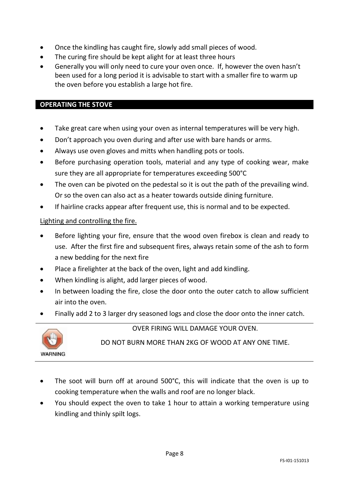- Once the kindling has caught fire, slowly add small pieces of wood.
- The curing fire should be kept alight for at least three hours
- Generally you will only need to cure your oven once. If, however the oven hasn't been used for a long period it is advisable to start with a smaller fire to warm up the oven before you establish a large hot fire.

#### **OPERATING THE STOVE**

- Take great care when using your oven as internal temperatures will be very high.
- Don't approach you oven during and after use with bare hands or arms.
- Always use oven gloves and mitts when handling pots or tools.
- Before purchasing operation tools, material and any type of cooking wear, make sure they are all appropriate for temperatures exceeding 500°C
- The oven can be pivoted on the pedestal so it is out the path of the prevailing wind. Or so the oven can also act as a heater towards outside dining furniture.
- If hairline cracks appear after frequent use, this is normal and to be expected.

#### Lighting and controlling the fire.

- Before lighting your fire, ensure that the wood oven firebox is clean and ready to use. After the first fire and subsequent fires, always retain some of the ash to form a new bedding for the next fire
- Place a firelighter at the back of the oven, light and add kindling.
- When kindling is alight, add larger pieces of wood.
- In between loading the fire, close the door onto the outer catch to allow sufficient air into the oven.
- Finally add 2 to 3 larger dry seasoned logs and close the door onto the inner catch.



OVER FIRING WILL DAMAGE YOUR OVEN.

DO NOT BURN MORE THAN 2KG OF WOOD AT ANY ONE TIME.

- The soot will burn off at around 500°C, this will indicate that the oven is up to cooking temperature when the walls and roof are no longer black.
- You should expect the oven to take 1 hour to attain a working temperature using kindling and thinly spilt logs.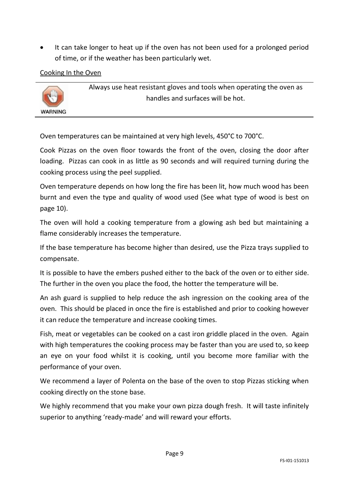It can take longer to heat up if the oven has not been used for a prolonged period of time, or if the weather has been particularly wet.

Cooking In the Oven



Always use heat resistant gloves and tools when operating the oven as handles and surfaces will be hot.

Oven temperatures can be maintained at very high levels, 450°C to 700°C.

Cook Pizzas on the oven floor towards the front of the oven, closing the door after loading. Pizzas can cook in as little as 90 seconds and will required turning during the cooking process using the peel supplied.

Oven temperature depends on how long the fire has been lit, how much wood has been burnt and even the type and quality of wood used (See what type of wood is best on page 10).

The oven will hold a cooking temperature from a glowing ash bed but maintaining a flame considerably increases the temperature.

If the base temperature has become higher than desired, use the Pizza trays supplied to compensate.

It is possible to have the embers pushed either to the back of the oven or to either side. The further in the oven you place the food, the hotter the temperature will be.

An ash guard is supplied to help reduce the ash ingression on the cooking area of the oven. This should be placed in once the fire is established and prior to cooking however it can reduce the temperature and increase cooking times.

Fish, meat or vegetables can be cooked on a cast iron griddle placed in the oven. Again with high temperatures the cooking process may be faster than you are used to, so keep an eye on your food whilst it is cooking, until you become more familiar with the performance of your oven.

We recommend a layer of Polenta on the base of the oven to stop Pizzas sticking when cooking directly on the stone base.

We highly recommend that you make your own pizza dough fresh. It will taste infinitely superior to anything 'ready-made' and will reward your efforts.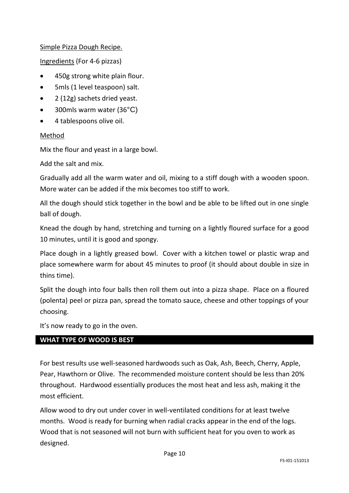#### Simple Pizza Dough Recipe.

Ingredients (For 4-6 pizzas)

- 450g strong white plain flour.
- 5mls (1 level teaspoon) salt.
- 2 (12g) sachets dried yeast.
- 300mls warm water (36°C)
- 4 tablespoons olive oil.

#### Method

Mix the flour and yeast in a large bowl.

Add the salt and mix.

Gradually add all the warm water and oil, mixing to a stiff dough with a wooden spoon. More water can be added if the mix becomes too stiff to work.

All the dough should stick together in the bowl and be able to be lifted out in one single ball of dough.

Knead the dough by hand, stretching and turning on a lightly floured surface for a good 10 minutes, until it is good and spongy.

Place dough in a lightly greased bowl. Cover with a kitchen towel or plastic wrap and place somewhere warm for about 45 minutes to proof (it should about double in size in thins time).

Split the dough into four balls then roll them out into a pizza shape. Place on a floured (polenta) peel or pizza pan, spread the tomato sauce, cheese and other toppings of your choosing.

It's now ready to go in the oven.

#### **WHAT TYPE OF WOOD IS BEST**

For best results use well-seasoned hardwoods such as Oak, Ash, Beech, Cherry, Apple, Pear, Hawthorn or Olive. The recommended moisture content should be less than 20% throughout. Hardwood essentially produces the most heat and less ash, making it the most efficient.

Allow wood to dry out under cover in well-ventilated conditions for at least twelve months. Wood is ready for burning when radial cracks appear in the end of the logs. Wood that is not seasoned will not burn with sufficient heat for you oven to work as designed.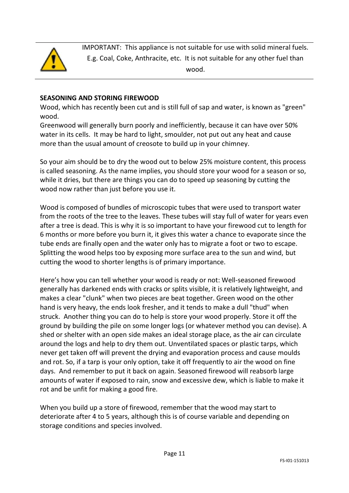

IMPORTANT: This appliance is not suitable for use with solid mineral fuels. E.g. Coal, Coke, Anthracite, etc. It is not suitable for any other fuel than wood.

#### **SEASONING AND STORING FIREWOOD**

Wood, which has recently been cut and is still full of sap and water, is known as "green" wood.

Greenwood will generally burn poorly and inefficiently, because it can have over 50% water in its cells. It may be hard to light, smoulder, not put out any heat and cause more than the usual amount of creosote to build up in your chimney.

So your aim should be to dry the wood out to below 25% moisture content, this process is called seasoning. As the name implies, you should store your wood for a season or so, while it dries, but there are things you can do to speed up seasoning by cutting the wood now rather than just before you use it.

Wood is composed of bundles of microscopic tubes that were used to transport water from the roots of the tree to the leaves. These tubes will stay full of water for years even after a tree is dead. This is why it is so important to have your firewood cut to length for 6 months or more before you burn it, it gives this water a chance to evaporate since the tube ends are finally open and the water only has to migrate a foot or two to escape. Splitting the wood helps too by exposing more surface area to the sun and wind, but cutting the wood to shorter lengths is of primary importance.

Here's how you can tell whether your wood is ready or not: Well-seasoned firewood generally has darkened ends with cracks or splits visible, it is relatively lightweight, and makes a clear "clunk" when two pieces are beat together. Green wood on the other hand is very heavy, the ends look fresher, and it tends to make a dull "thud" when struck. Another thing you can do to help is store your wood properly. Store it off the ground by building the pile on some longer logs (or whatever method you can devise). A shed or shelter with an open side makes an ideal storage place, as the air can circulate around the logs and help to dry them out. Unventilated spaces or plastic tarps, which never get taken off will prevent the drying and evaporation process and cause moulds and rot. So, if a tarp is your only option, take it off frequently to air the wood on fine days. And remember to put it back on again. Seasoned firewood will reabsorb large amounts of water if exposed to rain, snow and excessive dew, which is liable to make it rot and be unfit for making a good fire.

When you build up a store of firewood, remember that the wood may start to deteriorate after 4 to 5 years, although this is of course variable and depending on storage conditions and species involved.